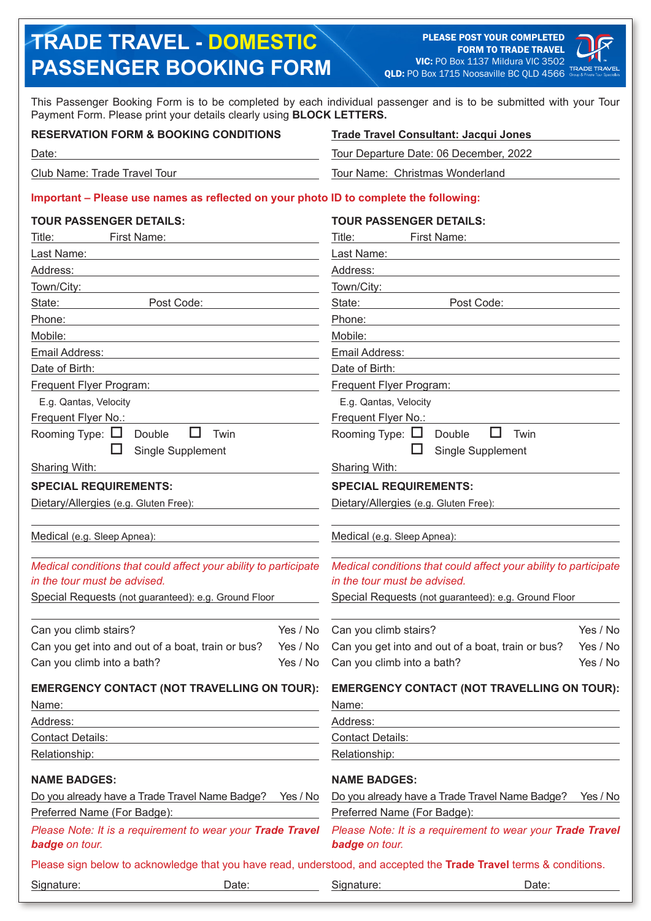# **TRADE TRAVEL - DOMESTIC PASSENGER BOOKING FORM**

PLEASE POST YOUR COMPLETED FORM TO TRADE TRAVEL VIC: PO Box 1137 Mildura VIC 3502 QLD: PO Box 1715 Noosaville BC QLD 4566



This Passenger Booking Form is to be completed by each individual passenger and is to be submitted with your Tour Payment Form. Please print your details clearly using **BLOCK LETTERS.**

### **RESERVATION FORM & BOOKING CONDITIONS**

**Trade Travel Consultant: Jacqui Jones**

Tour Departure Date: 06 December, 2022

Tour Name: Christmas Wonderland

Club Name: Trade Travel Tour

Date:

#### **Important – Please use names as reflected on your photo ID to complete the following:**

| <b>TOUR PASSENGER DETAILS:</b>                                                                                     |                     | <b>TOUR PASSENGER DETAILS:</b>                                                                   |          |  |
|--------------------------------------------------------------------------------------------------------------------|---------------------|--------------------------------------------------------------------------------------------------|----------|--|
| First Name:<br>Title:                                                                                              |                     | First Name:<br>Title:                                                                            |          |  |
| Last Name:                                                                                                         |                     | Last Name:                                                                                       |          |  |
| Address:                                                                                                           |                     | Address:                                                                                         |          |  |
| Town/City:                                                                                                         |                     | Town/City:                                                                                       |          |  |
| State:<br>Post Code:                                                                                               |                     | State:<br>Post Code:                                                                             |          |  |
| Phone:                                                                                                             |                     | Phone:                                                                                           |          |  |
| Mobile:                                                                                                            |                     | Mobile:                                                                                          |          |  |
| Email Address:                                                                                                     |                     | Email Address:                                                                                   |          |  |
| Date of Birth:                                                                                                     | Date of Birth:      |                                                                                                  |          |  |
| Frequent Flyer Program:                                                                                            |                     | Frequent Flyer Program:                                                                          |          |  |
| E.g. Qantas, Velocity                                                                                              |                     | E.g. Qantas, Velocity                                                                            |          |  |
| Frequent Flyer No.:                                                                                                | Frequent Flyer No.: |                                                                                                  |          |  |
| Rooming Type: $\Box$<br>ப<br>Double<br>Twin                                                                        |                     | Rooming Type: $\Box$<br>ப<br>Double<br>Twin                                                      |          |  |
| Single Supplement                                                                                                  |                     | Ш<br>Single Supplement                                                                           |          |  |
| Sharing With:                                                                                                      |                     | <b>Sharing With:</b>                                                                             |          |  |
| <b>SPECIAL REQUIREMENTS:</b>                                                                                       |                     | <b>SPECIAL REQUIREMENTS:</b>                                                                     |          |  |
| Dietary/Allergies (e.g. Gluten Free):                                                                              |                     | Dietary/Allergies (e.g. Gluten Free):                                                            |          |  |
| Medical (e.g. Sleep Apnea):                                                                                        |                     | Medical (e.g. Sleep Apnea):                                                                      |          |  |
| Medical conditions that could affect your ability to participate<br>in the tour must be advised.                   |                     | Medical conditions that could affect your ability to participate<br>in the tour must be advised. |          |  |
| Special Requests (not guaranteed): e.g. Ground Floor                                                               |                     | Special Requests (not guaranteed): e.g. Ground Floor                                             |          |  |
| Can you climb stairs?                                                                                              | Yes / No            | Can you climb stairs?                                                                            | Yes / No |  |
| Can you get into and out of a boat, train or bus?                                                                  | Yes / No            | Can you get into and out of a boat, train or bus?                                                | Yes / No |  |
| Can you climb into a bath?                                                                                         | Yes / No            | Can you climb into a bath?                                                                       | Yes / No |  |
| <b>EMERGENCY CONTACT (NOT TRAVELLING ON TOUR):</b>                                                                 |                     | <b>EMERGENCY CONTACT (NOT TRAVELLING ON TOUR):</b>                                               |          |  |
| Name:                                                                                                              |                     | Name:                                                                                            |          |  |
| Address:                                                                                                           |                     | Address:                                                                                         |          |  |
| <b>Contact Details:</b><br><u> 1989 - Johann Barbara, martxa alemaniar amerikan a</u>                              |                     | <b>Contact Details:</b>                                                                          |          |  |
| Relationship:                                                                                                      |                     | Relationship:                                                                                    |          |  |
| <b>NAME BADGES:</b>                                                                                                |                     | <b>NAME BADGES:</b>                                                                              |          |  |
| Do you already have a Trade Travel Name Badge? Yes / No                                                            |                     | Do you already have a Trade Travel Name Badge? Yes / No                                          |          |  |
| Preferred Name (For Badge):                                                                                        |                     | Preferred Name (For Badge):                                                                      |          |  |
| Please Note: It is a requirement to wear your Trade Travel<br><b>badge</b> on tour.                                |                     | Please Note: It is a requirement to wear your Trade Travel<br><b>badge</b> on tour.              |          |  |
| Please sign below to acknowledge that you have read, understood, and accepted the Trade Travel terms & conditions. |                     |                                                                                                  |          |  |
| Signature:<br>Date:                                                                                                |                     | Signature:<br>Date:                                                                              |          |  |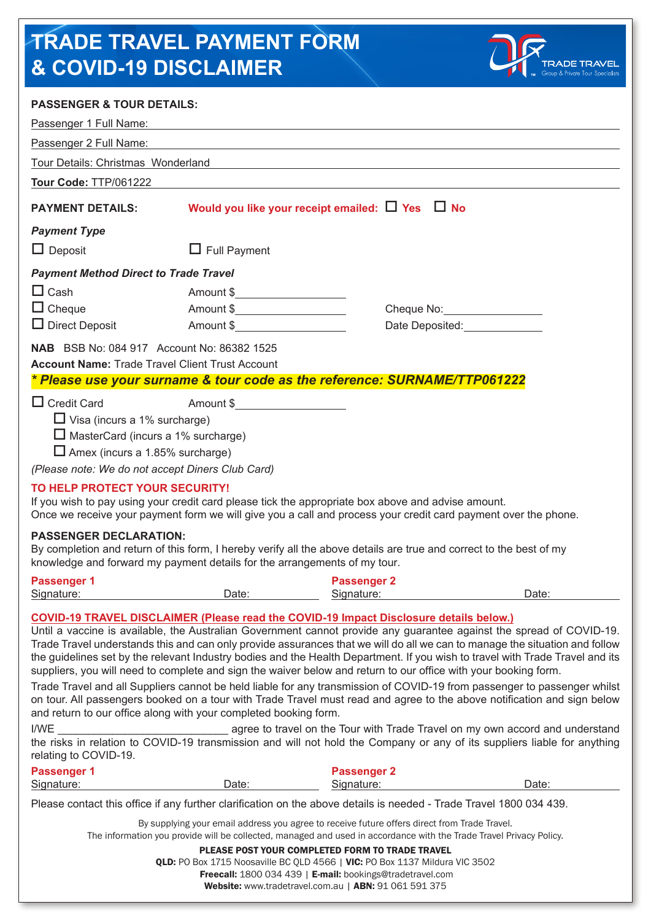# **TRADE TRAVEL PAYMENT FORM & COVID-19 DISCLAIMER**



## **PASSENGER & TOUR DETAILS:**

| AUVENUEIX & TUUIX DETAI                                                                                                                                                                                    |                                   |                                                                                                                                                                                                                                                                                                                                                                                               |                                                                                                                                                                                                                                                                                                                                                                                      |  |  |
|------------------------------------------------------------------------------------------------------------------------------------------------------------------------------------------------------------|-----------------------------------|-----------------------------------------------------------------------------------------------------------------------------------------------------------------------------------------------------------------------------------------------------------------------------------------------------------------------------------------------------------------------------------------------|--------------------------------------------------------------------------------------------------------------------------------------------------------------------------------------------------------------------------------------------------------------------------------------------------------------------------------------------------------------------------------------|--|--|
| Passenger 1 Full Name:                                                                                                                                                                                     |                                   |                                                                                                                                                                                                                                                                                                                                                                                               |                                                                                                                                                                                                                                                                                                                                                                                      |  |  |
| Passenger 2 Full Name:                                                                                                                                                                                     |                                   |                                                                                                                                                                                                                                                                                                                                                                                               |                                                                                                                                                                                                                                                                                                                                                                                      |  |  |
| Tour Details: Christmas Wonderland                                                                                                                                                                         |                                   |                                                                                                                                                                                                                                                                                                                                                                                               |                                                                                                                                                                                                                                                                                                                                                                                      |  |  |
| Tour Code: TTP/061222                                                                                                                                                                                      |                                   |                                                                                                                                                                                                                                                                                                                                                                                               |                                                                                                                                                                                                                                                                                                                                                                                      |  |  |
| <b>PAYMENT DETAILS:</b>                                                                                                                                                                                    |                                   | Would you like your receipt emailed: $\Box$ Yes $\Box$ No                                                                                                                                                                                                                                                                                                                                     |                                                                                                                                                                                                                                                                                                                                                                                      |  |  |
| <b>Payment Type</b>                                                                                                                                                                                        |                                   |                                                                                                                                                                                                                                                                                                                                                                                               |                                                                                                                                                                                                                                                                                                                                                                                      |  |  |
| $\Box$ Deposit                                                                                                                                                                                             | $\Box$ Full Payment               |                                                                                                                                                                                                                                                                                                                                                                                               |                                                                                                                                                                                                                                                                                                                                                                                      |  |  |
| <b>Payment Method Direct to Trade Travel</b>                                                                                                                                                               |                                   |                                                                                                                                                                                                                                                                                                                                                                                               |                                                                                                                                                                                                                                                                                                                                                                                      |  |  |
| $\Box$ Cash                                                                                                                                                                                                | Amount \$_______________________  |                                                                                                                                                                                                                                                                                                                                                                                               |                                                                                                                                                                                                                                                                                                                                                                                      |  |  |
| $\Box$ Cheque                                                                                                                                                                                              | Amount \$________________________ |                                                                                                                                                                                                                                                                                                                                                                                               | Cheque No: 2000                                                                                                                                                                                                                                                                                                                                                                      |  |  |
| $\Box$ Direct Deposit                                                                                                                                                                                      | Amount \$                         |                                                                                                                                                                                                                                                                                                                                                                                               | Date Deposited: National Proposited:                                                                                                                                                                                                                                                                                                                                                 |  |  |
| <b>NAB</b> BSB No: 084 917 Account No: 86382 1525                                                                                                                                                          |                                   |                                                                                                                                                                                                                                                                                                                                                                                               |                                                                                                                                                                                                                                                                                                                                                                                      |  |  |
| <b>Account Name: Trade Travel Client Trust Account</b>                                                                                                                                                     |                                   |                                                                                                                                                                                                                                                                                                                                                                                               |                                                                                                                                                                                                                                                                                                                                                                                      |  |  |
| * Please use your surname & tour code as the reference: SURNAME/TTP061222                                                                                                                                  |                                   |                                                                                                                                                                                                                                                                                                                                                                                               |                                                                                                                                                                                                                                                                                                                                                                                      |  |  |
| $\Box$ MasterCard (incurs a 1% surcharge)<br>$\Box$ Amex (incurs a 1.85% surcharge)<br>(Please note: We do not accept Diners Club Card)<br>TO HELP PROTECT YOUR SECURITY!<br><b>PASSENGER DECLARATION:</b> |                                   | If you wish to pay using your credit card please tick the appropriate box above and advise amount.<br>Once we receive your payment form we will give you a call and process your credit card payment over the phone.                                                                                                                                                                          |                                                                                                                                                                                                                                                                                                                                                                                      |  |  |
| knowledge and forward my payment details for the arrangements of my tour.                                                                                                                                  |                                   | By completion and return of this form, I hereby verify all the above details are true and correct to the best of my                                                                                                                                                                                                                                                                           |                                                                                                                                                                                                                                                                                                                                                                                      |  |  |
| <b>Passenger 1</b><br>Signature:                                                                                                                                                                           | Date:                             | <b>Passenger 2</b><br>Signature:                                                                                                                                                                                                                                                                                                                                                              | Date:                                                                                                                                                                                                                                                                                                                                                                                |  |  |
|                                                                                                                                                                                                            |                                   | <b>COVID-19 TRAVEL DISCLAIMER (Please read the COVID-19 Impact Disclosure details below.)</b><br>suppliers, you will need to complete and sign the waiver below and return to our office with your booking form.                                                                                                                                                                              | Until a vaccine is available, the Australian Government cannot provide any guarantee against the spread of COVID-19.<br>Trade Travel understands this and can only provide assurances that we will do all we can to manage the situation and follow<br>the guidelines set by the relevant Industry bodies and the Health Department. If you wish to travel with Trade Travel and its |  |  |
| and return to our office along with your completed booking form.                                                                                                                                           |                                   |                                                                                                                                                                                                                                                                                                                                                                                               | Trade Travel and all Suppliers cannot be held liable for any transmission of COVID-19 from passenger to passenger whilst<br>on tour. All passengers booked on a tour with Trade Travel must read and agree to the above notification and sign below                                                                                                                                  |  |  |
| I/WE<br>relating to COVID-19.                                                                                                                                                                              |                                   |                                                                                                                                                                                                                                                                                                                                                                                               | agree to travel on the Tour with Trade Travel on my own accord and understand<br>the risks in relation to COVID-19 transmission and will not hold the Company or any of its suppliers liable for anything                                                                                                                                                                            |  |  |
| <b>Passenger 1</b>                                                                                                                                                                                         |                                   | <b>Passenger 2</b>                                                                                                                                                                                                                                                                                                                                                                            |                                                                                                                                                                                                                                                                                                                                                                                      |  |  |
| Signature:                                                                                                                                                                                                 | Date:                             | Signature:                                                                                                                                                                                                                                                                                                                                                                                    | Date:                                                                                                                                                                                                                                                                                                                                                                                |  |  |
|                                                                                                                                                                                                            |                                   | Please contact this office if any further clarification on the above details is needed - Trade Travel 1800 034 439.<br>By supplying your email address you agree to receive future offers direct from Trade Travel.<br>The information you provide will be collected, managed and used in accordance with the Trade Travel Privacy Policy.<br>PLEASE POST YOUR COMPLETED FORM TO TRADE TRAVEL |                                                                                                                                                                                                                                                                                                                                                                                      |  |  |

QLD: PO Box 1715 Noosaville BC QLD 4566 | VIC: PO Box 1137 Mildura VIC 3502

Freecall: 1800 034 439 | E-mail: bookings@tradetravel.com

Website: www.tradetravel.com.au | ABN: 91 061 591 375